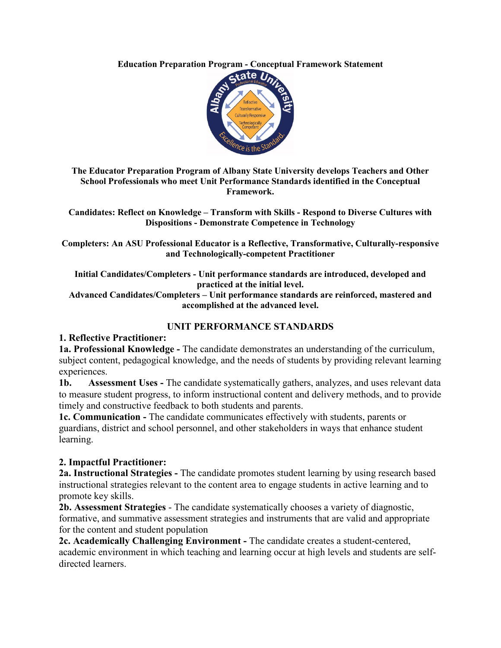**Education Preparation Program - Conceptual Framework Statement**



**The Educator Preparation Program of Albany State University develops Teachers and Other School Professionals who meet Unit Performance Standards identified in the Conceptual Framework.** 

**Candidates: Reflect on Knowledge – Transform with Skills - Respond to Diverse Cultures with Dispositions - Demonstrate Competence in Technology**

**Completers: An ASU Professional Educator is a Reflective, Transformative, Culturally-responsive and Technologically-competent Practitioner**

**Initial Candidates/Completers - Unit performance standards are introduced, developed and practiced at the initial level.**

**Advanced Candidates/Completers – Unit performance standards are reinforced, mastered and accomplished at the advanced level.**

# **UNIT PERFORMANCE STANDARDS**

#### **1. Reflective Practitioner:**

**1a. Professional Knowledge -** The candidate demonstrates an understanding of the curriculum, subject content, pedagogical knowledge, and the needs of students by providing relevant learning experiences.

**1b. Assessment Uses -** The candidate systematically gathers, analyzes, and uses relevant data to measure student progress, to inform instructional content and delivery methods, and to provide timely and constructive feedback to both students and parents.

**1c. Communication -** The candidate communicates effectively with students, parents or guardians, district and school personnel, and other stakeholders in ways that enhance student learning.

# **2. Impactful Practitioner:**

**2a. Instructional Strategies -** The candidate promotes student learning by using research based instructional strategies relevant to the content area to engage students in active learning and to promote key skills.

**2b. Assessment Strategies** - The candidate systematically chooses a variety of diagnostic, formative, and summative assessment strategies and instruments that are valid and appropriate for the content and student population

**2c. Academically Challenging Environment -** The candidate creates a student-centered, academic environment in which teaching and learning occur at high levels and students are selfdirected learners.